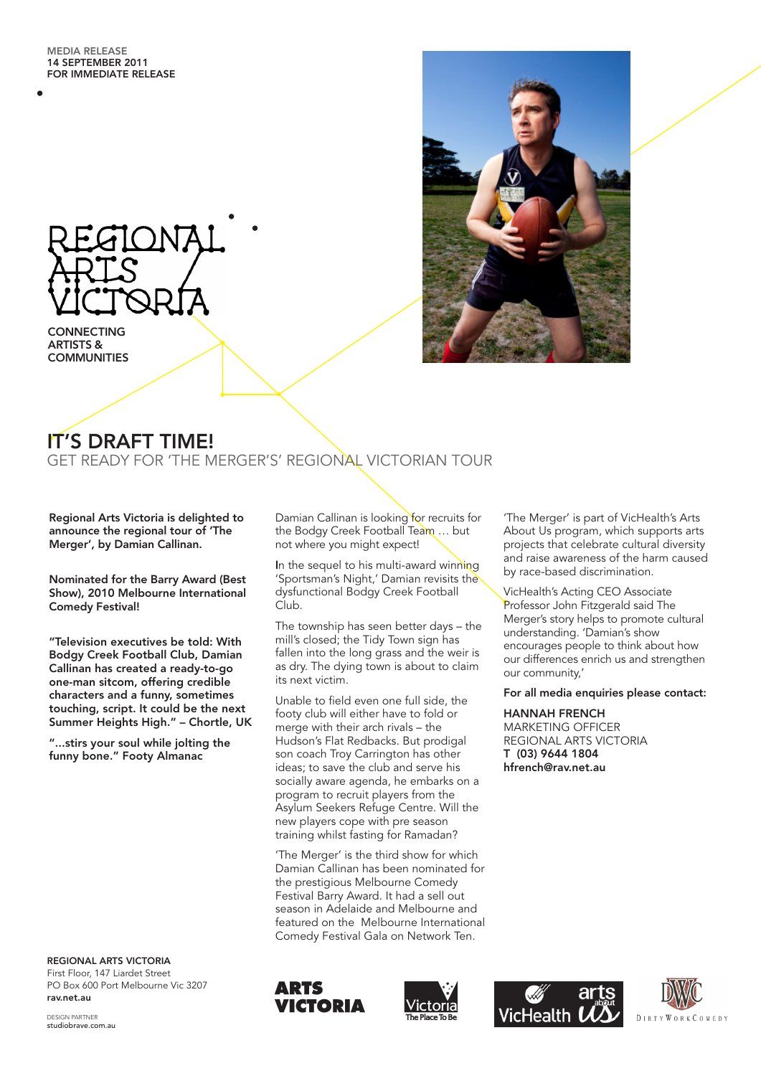

**CONNECTING** ARTISTS & **COMMUNITIES** 



# IT'S DRAFT TIME!

GET READY FOR 'THE MERGER'S' REGIONAL VICTORIAN TOUR

Regional Arts Victoria is delighted to announce the regional tour of 'The Merger', by Damian Callinan.

Nominated for the Barry Award (Best Show), 2010 Melbourne International Comedy Festival!

"Television executives be told: With Bodgy Creek Football Club, Damian Callinan has created a ready-to-go one-man sitcom, offering credible characters and a funny, sometimes touching, script. It could be the next Summer Heights High." – Chortle, UK

"...stirs your soul while jolting the funny bone." Footy Almanac

REGIONAL ARTS VICTORIA First Floor, 147 Liardet Street PO Box 600 Port Melbourne Vic 3207 rav.net.au

Damian Callinan is looking for recruits for the Bodgy Creek Football Team … but not where you might expect!

In the sequel to his multi-award winning 'Sportsman's Night,' Damian revisits the dysfunctional Bodgy Creek Football Club.

The township has seen better days – the mill's closed; the Tidy Town sign has fallen into the long grass and the weir is as dry. The dying town is about to claim its next victim.

Unable to field even one full side, the footy club will either have to fold or merge with their arch rivals – the Hudson's Flat Redbacks. But prodigal son coach Troy Carrington has other ideas; to save the club and serve his socially aware agenda, he embarks on a program to recruit players from the Asylum Seekers Refuge Centre. Will the new players cope with pre season training whilst fasting for Ramadan?

'The Merger' is the third show for which Damian Callinan has been nominated for the prestigious Melbourne Comedy Festival Barry Award. It had a sell out season in Adelaide and Melbourne and featured on the Melbourne International Comedy Festival Gala on Network Ten.





'The Merger' is part of VicHealth's Arts About Us program, which supports arts projects that celebrate cultural diversity and raise awareness of the harm caused by race-based discrimination.

VicHealth's Acting CEO Associate Professor John Fitzgerald said The Merger's story helps to promote cultural understanding. 'Damian's show encourages people to think about how our differences enrich us and strengthen our community,'

### For all media enquiries please contact:

HANNAH FRENCH MARKETING OFFICER REGIONAL ARTS VICTORIA T (03) 9644 1804 hfrench@rav.net.au

**Health** 

WORKCOMEDY

DESIGN PARTNER studiobrave.com.au